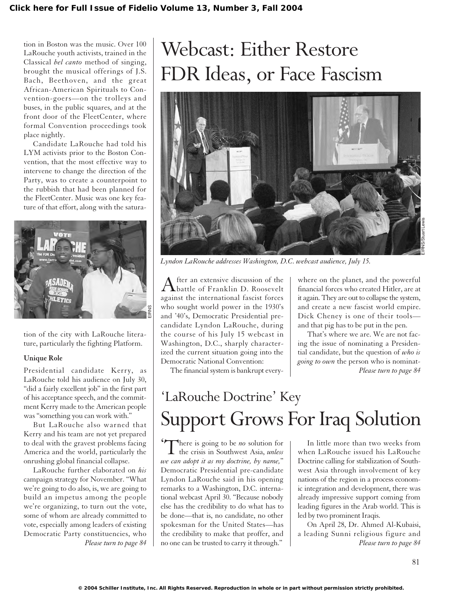tion in Boston was the music. Over 100 LaRouche youth activists, trained in the Classical *bel canto* method of singing, brought the musical offerings of J.S. Bach, Beethoven, and the great African-American Spirituals to Convention-goers—on the trolleys and buses, in the public squares, and at the front door of the FleetCenter, where formal Convention proceedings took place nightly.

Candidate LaRouche had told his LYM activists prior to the Boston Convention, that the most effective way to intervene to change the direction of the Party, was to create a counterpoint to the rubbish that had been planned for the FleetCenter. Music was one key feature of that effort, along with the satura-



tion of the city with LaRouche literature, particularly the fighting Platform.

#### **Unique Role**

Presidential candidate Kerry, as LaRouche told his audience on July 30, "did a fairly excellent job" in the first part of his acceptance speech, and the commitment Kerry made to the American people was "something you can work with."

But LaRouche also warned that Kerry and his team are not yet prepared to deal with the gravest problems facing America and the world, particularly the onrushing global financial collapse.

LaRouche further elaborated on *his* campaign strategy for November. "What we're going to do also, is, we are going to build an impetus among the people we're organizing, to turn out the vote, some of whom are already committed to vote, especially among leaders of existing Democratic Party constituencies, who

# Webcast: Either Restore FDR Ideas, or Face Fascism



*Lyndon LaRouche addresses Washington, D.C. webcast audience, July 15.*

After an extensive discussion of the<br>battle of Franklin D. Roosevelt against the international fascist forces who sought world power in the 1930's and '40's, Democratic Presidential precandidate Lyndon LaRouche, during the course of his July 15 webcast in Washington, D.C., sharply characterized the current situation going into the Democratic National Convention:

The financial system is bankrupt every-

where on the planet, and the powerful financial forces who created Hitler, are at it again. They are out to collapse the system, and create a new fascist world empire. Dick Cheney is one of their tools and that pig has to be put in the pen.

That's where we are. We are not facing the issue of nominating a Presidential candidate, but the question of *who is going to own* the person who is nominat-*Please turn to page 84*

# 'LaRouche Doctrine' Key Support Grows For Iraq Solution

There is going to be *no* solution for There is going to be *no* solution for<br>the crisis in Southwest Asia, *unless we can adopt it as my doctrine, by name,*" Democratic Presidential pre-candidate Lyndon LaRouche said in his opening remarks to a Washington, D.C. international webcast April 30. "Because nobody else has the credibility to do what has to be done—that is, no candidate, no other spokesman for the United States—has the credibility to make that proffer, and no one can be trusted to carry it through." *Please turn to page 84 Please turn to page 84*

In little more than two weeks from when LaRouche issued his LaRouche Doctrine calling for stabilization of Southwest Asia through involvement of key nations of the region in a process economic integration and development, there was already impressive support coming from leading figures in the Arab world. This is led by two prominent Iraqis.

On April 28, Dr. Ahmed Al-Kubaisi, a leading Sunni religious figure and